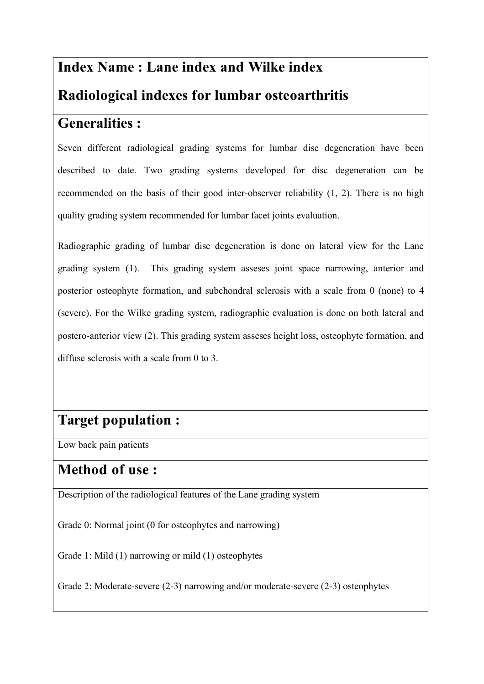# **Index Name : Lane index and Wilke index**

## **Radiological indexes for lumbar osteoarthritis**

## **Generalities :**

Seven different radiological grading systems for lumbar disc degeneration have been described to date. Two grading systems developed for disc degeneration can be recommended on the basis of their good inter-observer reliability (1, 2). There is no high quality grading system recommended for lumbar facet joints evaluation.

Radiographic grading of lumbar disc degeneration is done on lateral view for the Lane grading system (1). This grading system asseses joint space narrowing, anterior and posterior osteophyte formation, and subchondral sclerosis with a scale from 0 (none) to 4 (severe). For the Wilke grading system, radiographic evaluation is done on both lateral and postero-anterior view (2). This grading system asseses height loss, osteophyte formation, and diffuse sclerosis with a scale from 0 to 3.

# **Target population :**

Low back pain patients

## **Method of use :**

Description of the radiological features of the Lane grading system

Grade 0: Normal joint (0 for osteophytes and narrowing)

Grade 1: Mild (1) narrowing or mild (1) osteophytes

Grade 2: Moderate-severe (2-3) narrowing and/or moderate-severe (2-3) osteophytes